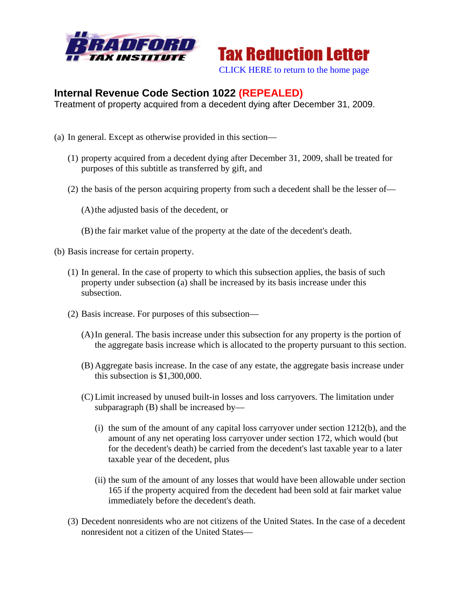



## **Internal Revenue Code Section 1022 (REPEALED)**

Treatment of property acquired from a decedent dying after December 31, 2009.

- (a) In general. Except as otherwise provided in this section—
	- (1) property acquired from a decedent dying after December 31, 2009, shall be treated for purposes of this subtitle as transferred by gift, and
	- (2) the basis of the person acquiring property from such a decedent shall be the lesser of—
		- (A)the adjusted basis of the decedent, or
		- (B) the fair market value of the property at the date of the decedent's death.
- (b) Basis increase for certain property.
	- (1) In general. In the case of property to which this subsection applies, the basis of such property under subsection (a) shall be increased by its basis increase under this subsection.
	- (2) Basis increase. For purposes of this subsection—
		- (A)In general. The basis increase under this subsection for any property is the portion of the aggregate basis increase which is allocated to the property pursuant to this section.
		- (B) Aggregate basis increase. In the case of any estate, the aggregate basis increase under this subsection is \$1,300,000.
		- (C) Limit increased by unused built-in losses and loss carryovers. The limitation under subparagraph (B) shall be increased by—
			- (i) the sum of the amount of any capital loss carryover under section 1212(b), and the amount of any net operating loss carryover under section 172, which would (but for the decedent's death) be carried from the decedent's last taxable year to a later taxable year of the decedent, plus
			- (ii) the sum of the amount of any losses that would have been allowable under section 165 if the property acquired from the decedent had been sold at fair market value immediately before the decedent's death.
	- (3) Decedent nonresidents who are not citizens of the United States. In the case of a decedent nonresident not a citizen of the United States—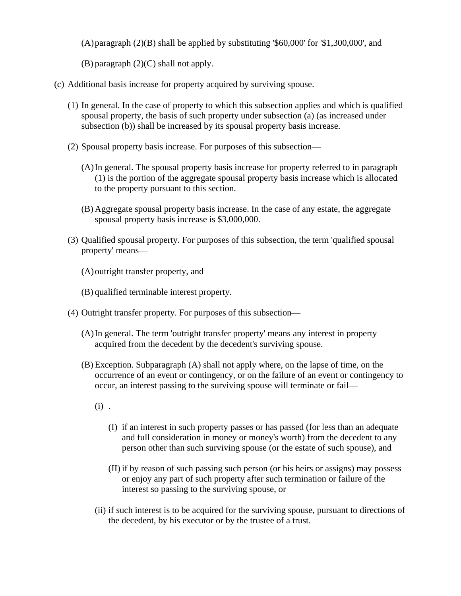$(A)$  paragraph  $(2)(B)$  shall be applied by substituting '\$60,000' for '\$1,300,000', and

(B) paragraph (2)(C) shall not apply.

- (c) Additional basis increase for property acquired by surviving spouse.
	- (1) In general. In the case of property to which this subsection applies and which is qualified spousal property, the basis of such property under subsection (a) (as increased under subsection (b)) shall be increased by its spousal property basis increase.
	- (2) Spousal property basis increase. For purposes of this subsection—
		- (A)In general. The spousal property basis increase for property referred to in paragraph (1) is the portion of the aggregate spousal property basis increase which is allocated to the property pursuant to this section.
		- (B) Aggregate spousal property basis increase. In the case of any estate, the aggregate spousal property basis increase is \$3,000,000.
	- (3) Qualified spousal property. For purposes of this subsection, the term 'qualified spousal property' means—
		- (A)outright transfer property, and
		- (B) qualified terminable interest property.
	- (4) Outright transfer property. For purposes of this subsection—
		- (A)In general. The term 'outright transfer property' means any interest in property acquired from the decedent by the decedent's surviving spouse.
		- (B) Exception. Subparagraph (A) shall not apply where, on the lapse of time, on the occurrence of an event or contingency, or on the failure of an event or contingency to occur, an interest passing to the surviving spouse will terminate or fail—
			- $(i)$ .
				- (I) if an interest in such property passes or has passed (for less than an adequate and full consideration in money or money's worth) from the decedent to any person other than such surviving spouse (or the estate of such spouse), and
				- (II) if by reason of such passing such person (or his heirs or assigns) may possess or enjoy any part of such property after such termination or failure of the interest so passing to the surviving spouse, or
			- (ii) if such interest is to be acquired for the surviving spouse, pursuant to directions of the decedent, by his executor or by the trustee of a trust.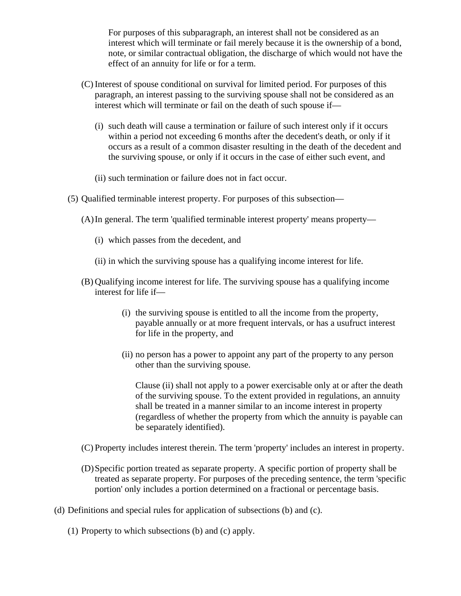For purposes of this subparagraph, an interest shall not be considered as an interest which will terminate or fail merely because it is the ownership of a bond, note, or similar contractual obligation, the discharge of which would not have the effect of an annuity for life or for a term.

- (C) Interest of spouse conditional on survival for limited period. For purposes of this paragraph, an interest passing to the surviving spouse shall not be considered as an interest which will terminate or fail on the death of such spouse if—
	- (i) such death will cause a termination or failure of such interest only if it occurs within a period not exceeding 6 months after the decedent's death, or only if it occurs as a result of a common disaster resulting in the death of the decedent and the surviving spouse, or only if it occurs in the case of either such event, and
	- (ii) such termination or failure does not in fact occur.
- (5) Qualified terminable interest property. For purposes of this subsection—
	- (A)In general. The term 'qualified terminable interest property' means property—
		- (i) which passes from the decedent, and
		- (ii) in which the surviving spouse has a qualifying income interest for life.
	- (B) Qualifying income interest for life. The surviving spouse has a qualifying income interest for life if—
		- (i) the surviving spouse is entitled to all the income from the property, payable annually or at more frequent intervals, or has a usufruct interest for life in the property, and
		- (ii) no person has a power to appoint any part of the property to any person other than the surviving spouse.

Clause (ii) shall not apply to a power exercisable only at or after the death of the surviving spouse. To the extent provided in regulations, an annuity shall be treated in a manner similar to an income interest in property (regardless of whether the property from which the annuity is payable can be separately identified).

- (C) Property includes interest therein. The term 'property' includes an interest in property.
- (D)Specific portion treated as separate property. A specific portion of property shall be treated as separate property. For purposes of the preceding sentence, the term 'specific portion' only includes a portion determined on a fractional or percentage basis.
- (d) Definitions and special rules for application of subsections (b) and (c).
	- (1) Property to which subsections (b) and (c) apply.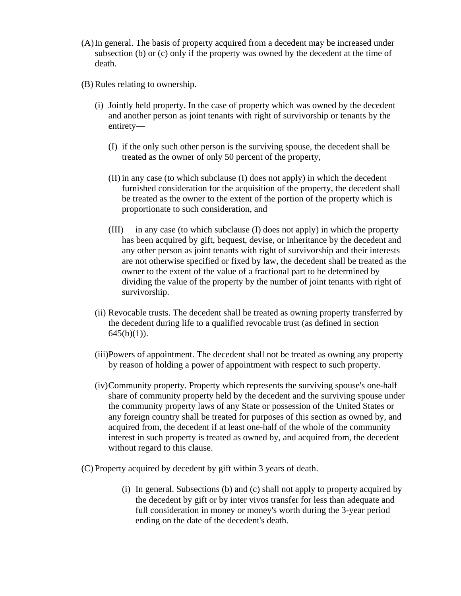- (A)In general. The basis of property acquired from a decedent may be increased under subsection (b) or (c) only if the property was owned by the decedent at the time of death.
- (B) Rules relating to ownership.
	- (i) Jointly held property. In the case of property which was owned by the decedent and another person as joint tenants with right of survivorship or tenants by the entirety—
		- (I) if the only such other person is the surviving spouse, the decedent shall be treated as the owner of only 50 percent of the property,
		- (II) in any case (to which subclause (I) does not apply) in which the decedent furnished consideration for the acquisition of the property, the decedent shall be treated as the owner to the extent of the portion of the property which is proportionate to such consideration, and
		- (III) in any case (to which subclause (I) does not apply) in which the property has been acquired by gift, bequest, devise, or inheritance by the decedent and any other person as joint tenants with right of survivorship and their interests are not otherwise specified or fixed by law, the decedent shall be treated as the owner to the extent of the value of a fractional part to be determined by dividing the value of the property by the number of joint tenants with right of survivorship.
	- (ii) Revocable trusts. The decedent shall be treated as owning property transferred by the decedent during life to a qualified revocable trust (as defined in section  $645(b)(1)$ ).
	- (iii)Powers of appointment. The decedent shall not be treated as owning any property by reason of holding a power of appointment with respect to such property.
	- (iv)Community property. Property which represents the surviving spouse's one-half share of community property held by the decedent and the surviving spouse under the community property laws of any State or possession of the United States or any foreign country shall be treated for purposes of this section as owned by, and acquired from, the decedent if at least one-half of the whole of the community interest in such property is treated as owned by, and acquired from, the decedent without regard to this clause.
- (C) Property acquired by decedent by gift within 3 years of death.
	- (i) In general. Subsections (b) and (c) shall not apply to property acquired by the decedent by gift or by inter vivos transfer for less than adequate and full consideration in money or money's worth during the 3-year period ending on the date of the decedent's death.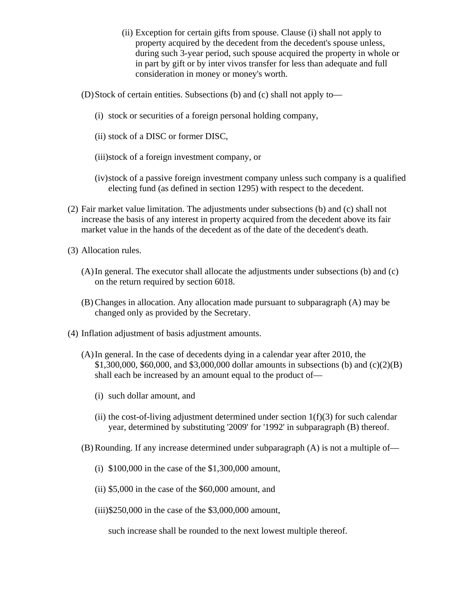- (ii) Exception for certain gifts from spouse. Clause (i) shall not apply to property acquired by the decedent from the decedent's spouse unless, during such 3-year period, such spouse acquired the property in whole or in part by gift or by inter vivos transfer for less than adequate and full consideration in money or money's worth.
- (D)Stock of certain entities. Subsections (b) and (c) shall not apply to—
	- (i) stock or securities of a foreign personal holding company,
	- (ii) stock of a DISC or former DISC,
	- (iii)stock of a foreign investment company, or
	- (iv)stock of a passive foreign investment company unless such company is a qualified electing fund (as defined in section 1295) with respect to the decedent.
- (2) Fair market value limitation. The adjustments under subsections (b) and (c) shall not increase the basis of any interest in property acquired from the decedent above its fair market value in the hands of the decedent as of the date of the decedent's death.
- (3) Allocation rules.
	- (A)In general. The executor shall allocate the adjustments under subsections (b) and (c) on the return required by section 6018.
	- (B) Changes in allocation. Any allocation made pursuant to subparagraph (A) may be changed only as provided by the Secretary.
- (4) Inflation adjustment of basis adjustment amounts.
	- (A)In general. In the case of decedents dying in a calendar year after 2010, the \$1,300,000, \$60,000, and \$3,000,000 dollar amounts in subsections (b) and (c)(2)(B) shall each be increased by an amount equal to the product of—
		- (i) such dollar amount, and
		- (ii) the cost-of-living adjustment determined under section  $1(f)(3)$  for such calendar year, determined by substituting '2009' for '1992' in subparagraph (B) thereof.
	- (B) Rounding. If any increase determined under subparagraph (A) is not a multiple of—
		- (i) \$100,000 in the case of the \$1,300,000 amount,
		- (ii) \$5,000 in the case of the \$60,000 amount, and
		- (iii)\$250,000 in the case of the \$3,000,000 amount,

such increase shall be rounded to the next lowest multiple thereof.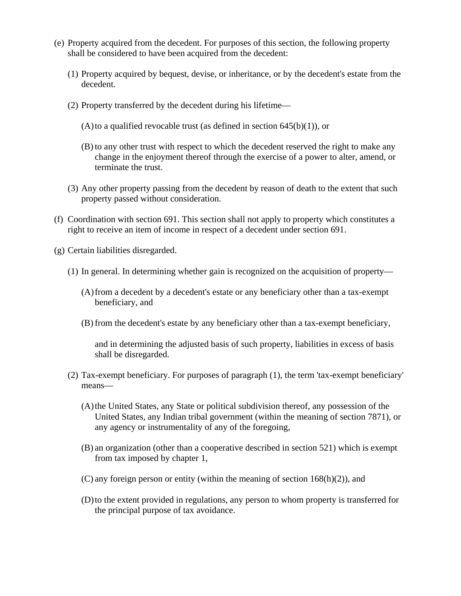- (e) Property acquired from the decedent. For purposes of this section, the following property shall be considered to have been acquired from the decedent:
	- (1) Property acquired by bequest, devise, or inheritance, or by the decedent's estate from the decedent.
	- (2) Property transferred by the decedent during his lifetime—
		- (A)to a qualified revocable trust (as defined in section  $645(b)(1)$ ), or
		- (B) to any other trust with respect to which the decedent reserved the right to make any change in the enjoyment thereof through the exercise of a power to alter, amend, or terminate the trust.
	- (3) Any other property passing from the decedent by reason of death to the extent that such property passed without consideration.
- (f) Coordination with section 691. This section shall not apply to property which constitutes a right to receive an item of income in respect of a decedent under section 691.
- (g) Certain liabilities disregarded.
	- (1) In general. In determining whether gain is recognized on the acquisition of property—
		- (A)from a decedent by a decedent's estate or any beneficiary other than a tax-exempt beneficiary, and
		- (B) from the decedent's estate by any beneficiary other than a tax-exempt beneficiary,

and in determining the adjusted basis of such property, liabilities in excess of basis shall be disregarded.

- (2) Tax-exempt beneficiary. For purposes of paragraph (1), the term 'tax-exempt beneficiary' means—
	- (A)the United States, any State or political subdivision thereof, any possession of the United States, any Indian tribal government (within the meaning of section 7871), or any agency or instrumentality of any of the foregoing,
	- (B) an organization (other than a cooperative described in section 521) which is exempt from tax imposed by chapter 1,
	- $(C)$  any foreign person or entity (within the meaning of section 168 $(h)(2)$ ), and
	- (D)to the extent provided in regulations, any person to whom property is transferred for the principal purpose of tax avoidance.